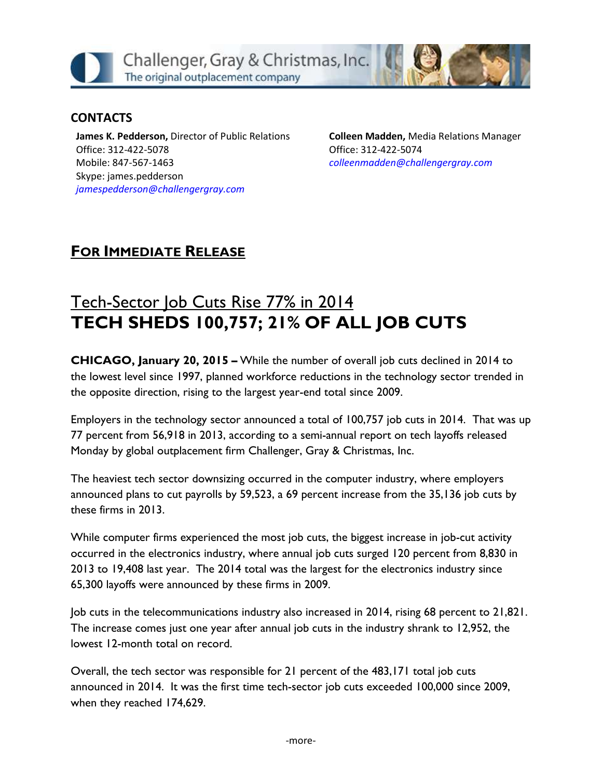

#### **CONTACTS**

**James K. Pedderson,** Director of Public Relations Office: 312-422-5078 Mobile: 847-567-1463 Skype: james.pedderson *[jamespedderson@challengergray.com](mailto:jamespedderson@challengergray.com)*

**Colleen Madden,** Media Relations Manager Office: 312-422-5074 *[colleenmadden@challengergray.com](mailto:colleenmadden@challengergray.com)*

## **FOR IMMEDIATE RELEASE**

# Tech-Sector Job Cuts Rise 77% in 2014 **TECH SHEDS 100,757; 21% OF ALL JOB CUTS**

**CHICAGO, January 20, 2015 –** While the number of overall job cuts declined in 2014 to the lowest level since 1997, planned workforce reductions in the technology sector trended in the opposite direction, rising to the largest year-end total since 2009.

Employers in the technology sector announced a total of 100,757 job cuts in 2014. That was up 77 percent from 56,918 in 2013, according to a semi-annual report on tech layoffs released Monday by global outplacement firm Challenger, Gray & Christmas, Inc.

The heaviest tech sector downsizing occurred in the computer industry, where employers announced plans to cut payrolls by 59,523, a 69 percent increase from the 35,136 job cuts by these firms in 2013.

While computer firms experienced the most job cuts, the biggest increase in job-cut activity occurred in the electronics industry, where annual job cuts surged 120 percent from 8,830 in 2013 to 19,408 last year. The 2014 total was the largest for the electronics industry since 65,300 layoffs were announced by these firms in 2009.

Job cuts in the telecommunications industry also increased in 2014, rising 68 percent to 21,821. The increase comes just one year after annual job cuts in the industry shrank to 12,952, the lowest 12-month total on record.

Overall, the tech sector was responsible for 21 percent of the 483,171 total job cuts announced in 2014. It was the first time tech-sector job cuts exceeded 100,000 since 2009, when they reached 174,629.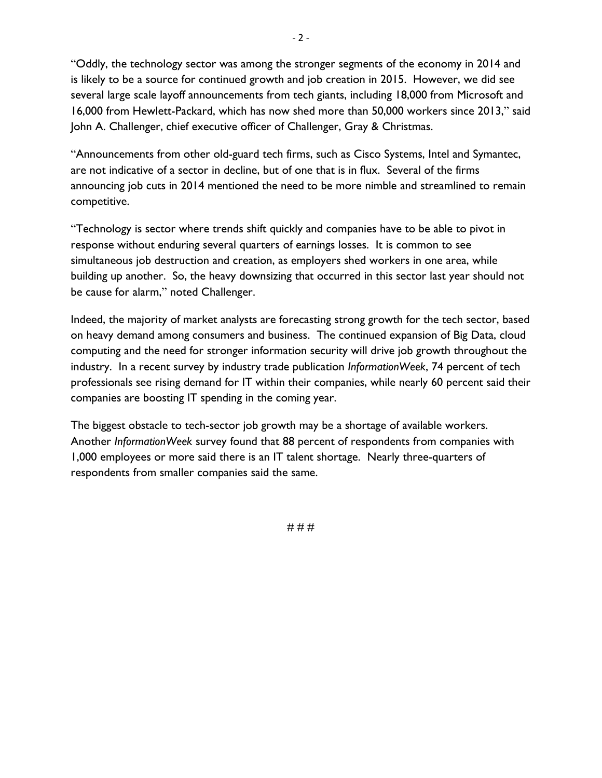"Oddly, the technology sector was among the stronger segments of the economy in 2014 and is likely to be a source for continued growth and job creation in 2015. However, we did see several large scale layoff announcements from tech giants, including 18,000 from Microsoft and 16,000 from Hewlett-Packard, which has now shed more than 50,000 workers since 2013," said John A. Challenger, chief executive officer of Challenger, Gray & Christmas.

"Announcements from other old-guard tech firms, such as Cisco Systems, Intel and Symantec, are not indicative of a sector in decline, but of one that is in flux. Several of the firms announcing job cuts in 2014 mentioned the need to be more nimble and streamlined to remain competitive.

"Technology is sector where trends shift quickly and companies have to be able to pivot in response without enduring several quarters of earnings losses. It is common to see simultaneous job destruction and creation, as employers shed workers in one area, while building up another. So, the heavy downsizing that occurred in this sector last year should not be cause for alarm," noted Challenger.

Indeed, the majority of market analysts are forecasting strong growth for the tech sector, based on heavy demand among consumers and business. The continued expansion of Big Data, cloud computing and the need for stronger information security will drive job growth throughout the industry. In a recent survey by industry trade publication *InformationWeek*, 74 percent of tech professionals see rising demand for IT within their companies, while nearly 60 percent said their companies are boosting IT spending in the coming year.

The biggest obstacle to tech-sector job growth may be a shortage of available workers. Another *InformationWeek* survey found that 88 percent of respondents from companies with 1,000 employees or more said there is an IT talent shortage. Nearly three-quarters of respondents from smaller companies said the same.

# # #